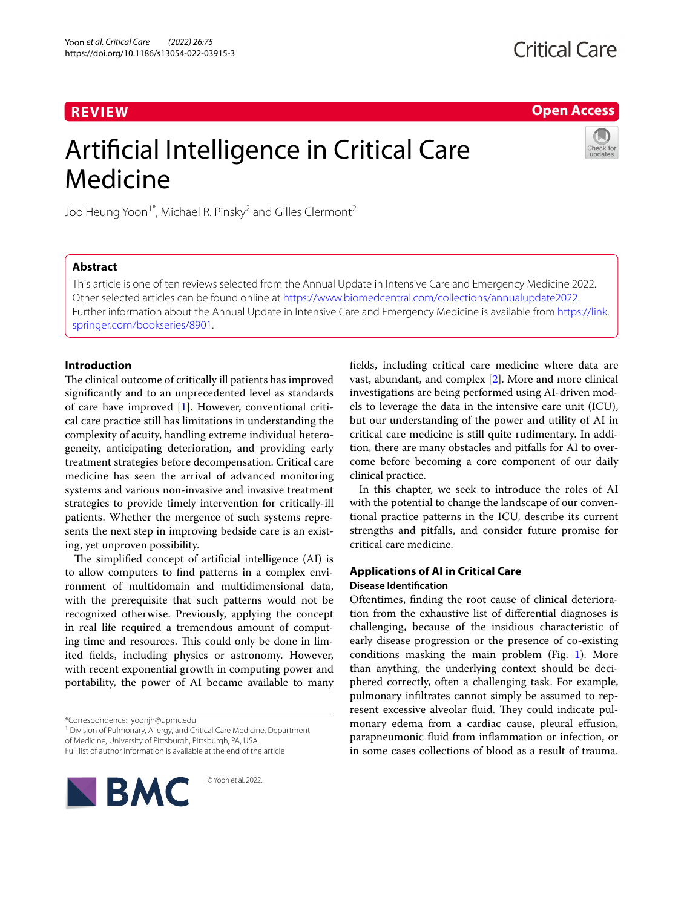# **REVIEW**

**Open Access**

# Artificial Intelligence in Critical Care Medicine



Joo Heung Yoon<sup>1\*</sup>, Michael R. Pinsky<sup>2</sup> and Gilles Clermont<sup>2</sup>

# **Abstract**

This article is one of ten reviews selected from the Annual Update in Intensive Care and Emergency Medicine 2022. Other selected articles can be found online at <https://www.biomedcentral.com/collections/annualupdate2022>. Further information about the Annual Update in Intensive Care and Emergency Medicine is available from [https://link.](https://link.springer.com/bookseries/8901) [springer.com/bookseries/8901.](https://link.springer.com/bookseries/8901)

## **Introduction**

The clinical outcome of critically ill patients has improved significantly and to an unprecedented level as standards of care have improved [[1\]](#page-7-0). However, conventional critical care practice still has limitations in understanding the complexity of acuity, handling extreme individual heterogeneity, anticipating deterioration, and providing early treatment strategies before decompensation. Critical care medicine has seen the arrival of advanced monitoring systems and various non-invasive and invasive treatment strategies to provide timely intervention for critically-ill patients. Whether the mergence of such systems represents the next step in improving bedside care is an existing, yet unproven possibility.

The simplified concept of artificial intelligence (AI) is to allow computers to find patterns in a complex environment of multidomain and multidimensional data, with the prerequisite that such patterns would not be recognized otherwise. Previously, applying the concept in real life required a tremendous amount of computing time and resources. This could only be done in limited fields, including physics or astronomy. However, with recent exponential growth in computing power and portability, the power of AI became available to many

<sup>1</sup> Division of Pulmonary, Allergy, and Critical Care Medicine, Department of Medicine, University of Pittsburgh, Pittsburgh, PA, USA

Full list of author information is available at the end of the article



© Yoon et al. 2022.

fields, including critical care medicine where data are vast, abundant, and complex [[2\]](#page-7-1). More and more clinical investigations are being performed using AI-driven models to leverage the data in the intensive care unit (ICU), but our understanding of the power and utility of AI in critical care medicine is still quite rudimentary. In addition, there are many obstacles and pitfalls for AI to overcome before becoming a core component of our daily clinical practice.

In this chapter, we seek to introduce the roles of AI with the potential to change the landscape of our conventional practice patterns in the ICU, describe its current strengths and pitfalls, and consider future promise for critical care medicine.

# **Applications of AI in Critical Care**

# **Disease Identification**

Oftentimes, finding the root cause of clinical deterioration from the exhaustive list of differential diagnoses is challenging, because of the insidious characteristic of early disease progression or the presence of co-existing conditions masking the main problem (Fig.  $1$ ). More than anything, the underlying context should be deciphered correctly, often a challenging task. For example, pulmonary infiltrates cannot simply be assumed to represent excessive alveolar fluid. They could indicate pulmonary edema from a cardiac cause, pleural effusion, parapneumonic fluid from inflammation or infection, or in some cases collections of blood as a result of trauma.

<sup>\*</sup>Correspondence: yoonjh@upmc.edu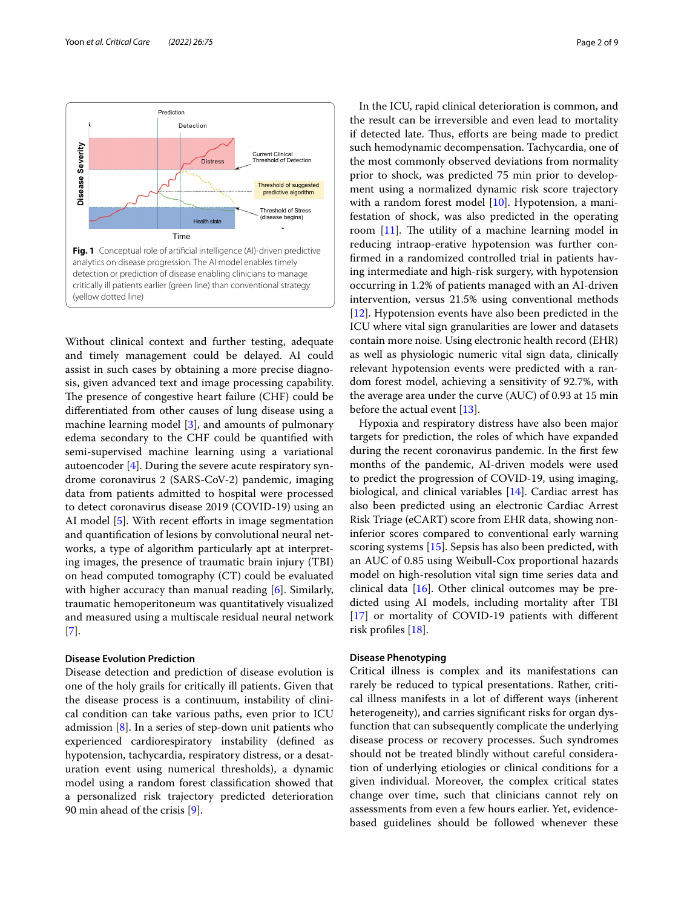

<span id="page-1-0"></span>Without clinical context and further testing, adequate and timely management could be delayed. AI could assist in such cases by obtaining a more precise diagnosis, given advanced text and image processing capability. The presence of congestive heart failure (CHF) could be differentiated from other causes of lung disease using a machine learning model [[3\]](#page-7-2), and amounts of pulmonary edema secondary to the CHF could be quantified with semi-supervised machine learning using a variational autoencoder [\[4](#page-7-3)]. During the severe acute respiratory syndrome coronavirus 2 (SARS-CoV-2) pandemic, imaging data from patients admitted to hospital were processed to detect coronavirus disease 2019 (COVID-19) using an AI model [[5\]](#page-7-4). With recent efforts in image segmentation and quantification of lesions by convolutional neural networks, a type of algorithm particularly apt at interpreting images, the presence of traumatic brain injury (TBI) on head computed tomography (CT) could be evaluated with higher accuracy than manual reading [\[6\]](#page-7-5). Similarly, traumatic hemoperitoneum was quantitatively visualized and measured using a multiscale residual neural network [[7\]](#page-7-6).

#### **Disease Evolution Prediction**

Disease detection and prediction of disease evolution is one of the holy grails for critically ill patients. Given that the disease process is a continuum, instability of clinical condition can take various paths, even prior to ICU admission  $[8]$  $[8]$ . In a series of step-down unit patients who experienced cardiorespiratory instability (defined as hypotension, tachycardia, respiratory distress, or a desaturation event using numerical thresholds), a dynamic model using a random forest classification showed that a personalized risk trajectory predicted deterioration 90 min ahead of the crisis [\[9](#page-7-8)].

In the ICU, rapid clinical deterioration is common, and the result can be irreversible and even lead to mortality if detected late. Thus, efforts are being made to predict such hemodynamic decompensation. Tachycardia, one of the most commonly observed deviations from normality prior to shock, was predicted 75 min prior to development using a normalized dynamic risk score trajectory with a random forest model [\[10](#page-7-9)]. Hypotension, a manifestation of shock, was also predicted in the operating room [[11](#page-7-10)]. The utility of a machine learning model in reducing intraop-erative hypotension was further confirmed in a randomized controlled trial in patients having intermediate and high-risk surgery, with hypotension occurring in 1.2% of patients managed with an AI-driven intervention, versus 21.5% using conventional methods [[12\]](#page-7-11). Hypotension events have also been predicted in the ICU where vital sign granularities are lower and datasets contain more noise. Using electronic health record (EHR) as well as physiologic numeric vital sign data, clinically relevant hypotension events were predicted with a random forest model, achieving a sensitivity of 92.7%, with the average area under the curve (AUC) of 0.93 at 15 min before the actual event [[13\]](#page-7-12).

Hypoxia and respiratory distress have also been major targets for prediction, the roles of which have expanded during the recent coronavirus pandemic. In the first few months of the pandemic, AI-driven models were used to predict the progression of COVID-19, using imaging, biological, and clinical variables [[14\]](#page-7-13). Cardiac arrest has also been predicted using an electronic Cardiac Arrest Risk Triage (eCART) score from EHR data, showing noninferior scores compared to conventional early warning scoring systems [[15](#page-7-14)]. Sepsis has also been predicted, with an AUC of 0.85 using Weibull-Cox proportional hazards model on high-resolution vital sign time series data and clinical data [\[16](#page-7-15)]. Other clinical outcomes may be predicted using AI models, including mortality after TBI [[17\]](#page-7-16) or mortality of COVID-19 patients with different risk profiles [\[18\]](#page-7-17).

#### **Disease Phenotyping**

Critical illness is complex and its manifestations can rarely be reduced to typical presentations. Rather, critical illness manifests in a lot of different ways (inherent heterogeneity), and carries significant risks for organ dysfunction that can subsequently complicate the underlying disease process or recovery processes. Such syndromes should not be treated blindly without careful consideration of underlying etiologies or clinical conditions for a given individual. Moreover, the complex critical states change over time, such that clinicians cannot rely on assessments from even a few hours earlier. Yet, evidencebased guidelines should be followed whenever these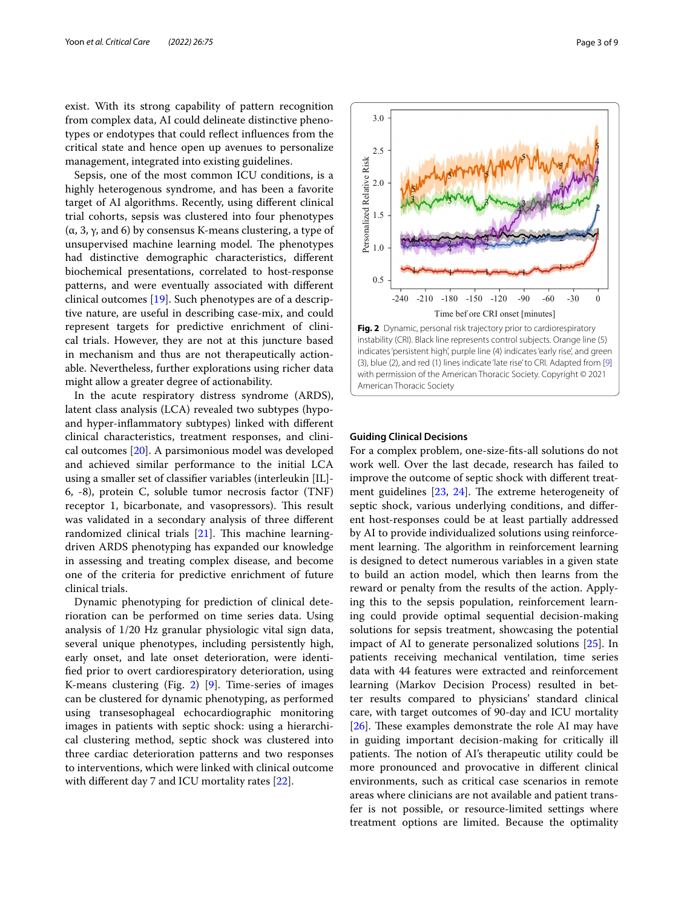exist. With its strong capability of pattern recognition from complex data, AI could delineate distinctive phenotypes or endotypes that could reflect influences from the critical state and hence open up avenues to personalize management, integrated into existing guidelines.

Sepsis, one of the most common ICU conditions, is a highly heterogenous syndrome, and has been a favorite target of AI algorithms. Recently, using different clinical trial cohorts, sepsis was clustered into four phenotypes (α, 3, γ, and 6) by consensus K-means clustering, a type of unsupervised machine learning model. The phenotypes had distinctive demographic characteristics, different biochemical presentations, correlated to host-response patterns, and were eventually associated with different clinical outcomes [[19\]](#page-7-18). Such phenotypes are of a descriptive nature, are useful in describing case-mix, and could represent targets for predictive enrichment of clinical trials. However, they are not at this juncture based in mechanism and thus are not therapeutically actionable. Nevertheless, further explorations using richer data might allow a greater degree of actionability.

In the acute respiratory distress syndrome (ARDS), latent class analysis (LCA) revealed two subtypes (hypoand hyper-inflammatory subtypes) linked with different clinical characteristics, treatment responses, and clinical outcomes [\[20](#page-7-19)]. A parsimonious model was developed and achieved similar performance to the initial LCA using a smaller set of classifier variables (interleukin [IL]- 6, -8), protein C, soluble tumor necrosis factor (TNF) receptor 1, bicarbonate, and vasopressors). This result was validated in a secondary analysis of three different randomized clinical trials [\[21](#page-7-20)]. This machine learningdriven ARDS phenotyping has expanded our knowledge in assessing and treating complex disease, and become one of the criteria for predictive enrichment of future clinical trials.

Dynamic phenotyping for prediction of clinical deterioration can be performed on time series data. Using analysis of 1/20 Hz granular physiologic vital sign data, several unique phenotypes, including persistently high, early onset, and late onset deterioration, were identified prior to overt cardiorespiratory deterioration, using K-means clustering (Fig. [2](#page-2-0)) [[9\]](#page-7-8). Time-series of images can be clustered for dynamic phenotyping, as performed using transesophageal echocardiographic monitoring images in patients with septic shock: using a hierarchical clustering method, septic shock was clustered into three cardiac deterioration patterns and two responses to interventions, which were linked with clinical outcome with different day 7 and ICU mortality rates [[22\]](#page-7-21).



<span id="page-2-0"></span>American Thoracic Society

3.0

#### **Guiding Clinical Decisions**

For a complex problem, one-size-fits-all solutions do not work well. Over the last decade, research has failed to improve the outcome of septic shock with different treatment guidelines [[23](#page-7-22), [24\]](#page-7-23). The extreme heterogeneity of septic shock, various underlying conditions, and different host-responses could be at least partially addressed by AI to provide individualized solutions using reinforcement learning. The algorithm in reinforcement learning is designed to detect numerous variables in a given state to build an action model, which then learns from the reward or penalty from the results of the action. Applying this to the sepsis population, reinforcement learning could provide optimal sequential decision-making solutions for sepsis treatment, showcasing the potential impact of AI to generate personalized solutions [\[25\]](#page-7-24). In patients receiving mechanical ventilation, time series data with 44 features were extracted and reinforcement learning (Markov Decision Process) resulted in better results compared to physicians' standard clinical care, with target outcomes of 90-day and ICU mortality [[26\]](#page-7-25). These examples demonstrate the role AI may have in guiding important decision-making for critically ill patients. The notion of AI's therapeutic utility could be more pronounced and provocative in different clinical environments, such as critical case scenarios in remote areas where clinicians are not available and patient transfer is not possible, or resource-limited settings where treatment options are limited. Because the optimality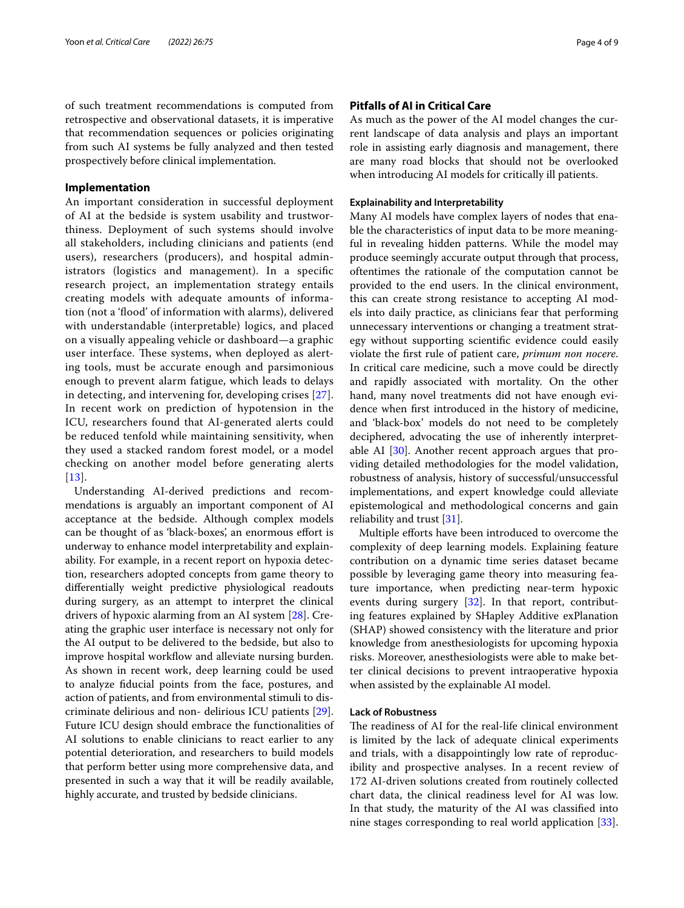of such treatment recommendations is computed from retrospective and observational datasets, it is imperative that recommendation sequences or policies originating from such AI systems be fully analyzed and then tested prospectively before clinical implementation.

## **Implementation**

An important consideration in successful deployment of AI at the bedside is system usability and trustworthiness. Deployment of such systems should involve all stakeholders, including clinicians and patients (end users), researchers (producers), and hospital administrators (logistics and management). In a specific research project, an implementation strategy entails creating models with adequate amounts of information (not a 'flood' of information with alarms), delivered with understandable (interpretable) logics, and placed on a visually appealing vehicle or dashboard—a graphic user interface. These systems, when deployed as alerting tools, must be accurate enough and parsimonious enough to prevent alarm fatigue, which leads to delays in detecting, and intervening for, developing crises [[27\]](#page-7-26). In recent work on prediction of hypotension in the ICU, researchers found that AI-generated alerts could be reduced tenfold while maintaining sensitivity, when they used a stacked random forest model, or a model checking on another model before generating alerts [[13](#page-7-12)].

Understanding AI-derived predictions and recommendations is arguably an important component of AI acceptance at the bedside. Although complex models can be thought of as 'black-boxes', an enormous effort is underway to enhance model interpretability and explainability. For example, in a recent report on hypoxia detection, researchers adopted concepts from game theory to differentially weight predictive physiological readouts during surgery, as an attempt to interpret the clinical drivers of hypoxic alarming from an AI system [\[28](#page-7-27)]. Creating the graphic user interface is necessary not only for the AI output to be delivered to the bedside, but also to improve hospital workflow and alleviate nursing burden. As shown in recent work, deep learning could be used to analyze fiducial points from the face, postures, and action of patients, and from environmental stimuli to discriminate delirious and non- delirious ICU patients [\[29](#page-7-28)]. Future ICU design should embrace the functionalities of AI solutions to enable clinicians to react earlier to any potential deterioration, and researchers to build models that perform better using more comprehensive data, and presented in such a way that it will be readily available, highly accurate, and trusted by bedside clinicians.

## **Pitfalls of AI in Critical Care**

As much as the power of the AI model changes the current landscape of data analysis and plays an important role in assisting early diagnosis and management, there are many road blocks that should not be overlooked when introducing AI models for critically ill patients.

#### **Explainability and Interpretability**

Many AI models have complex layers of nodes that enable the characteristics of input data to be more meaningful in revealing hidden patterns. While the model may produce seemingly accurate output through that process, oftentimes the rationale of the computation cannot be provided to the end users. In the clinical environment, this can create strong resistance to accepting AI models into daily practice, as clinicians fear that performing unnecessary interventions or changing a treatment strategy without supporting scientific evidence could easily violate the first rule of patient care, *primum non nocere*. In critical care medicine, such a move could be directly and rapidly associated with mortality. On the other hand, many novel treatments did not have enough evidence when first introduced in the history of medicine, and 'black-box' models do not need to be completely deciphered, advocating the use of inherently interpretable AI [\[30](#page-7-29)]. Another recent approach argues that providing detailed methodologies for the model validation, robustness of analysis, history of successful/unsuccessful implementations, and expert knowledge could alleviate epistemological and methodological concerns and gain reliability and trust [[31\]](#page-7-30).

Multiple efforts have been introduced to overcome the complexity of deep learning models. Explaining feature contribution on a dynamic time series dataset became possible by leveraging game theory into measuring feature importance, when predicting near-term hypoxic events during surgery [[32](#page-7-31)]. In that report, contributing features explained by SHapley Additive exPlanation (SHAP) showed consistency with the literature and prior knowledge from anesthesiologists for upcoming hypoxia risks. Moreover, anesthesiologists were able to make better clinical decisions to prevent intraoperative hypoxia when assisted by the explainable AI model.

## **Lack of Robustness**

The readiness of AI for the real-life clinical environment is limited by the lack of adequate clinical experiments and trials, with a disappointingly low rate of reproducibility and prospective analyses. In a recent review of 172 AI-driven solutions created from routinely collected chart data, the clinical readiness level for AI was low. In that study, the maturity of the AI was classified into nine stages corresponding to real world application [\[33](#page-7-32)].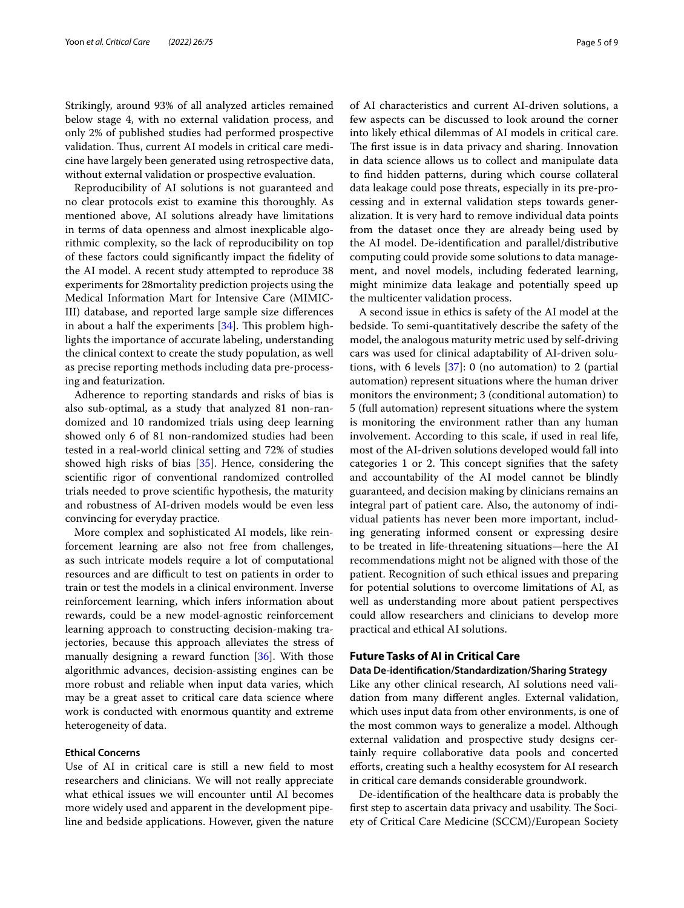Strikingly, around 93% of all analyzed articles remained below stage 4, with no external validation process, and only 2% of published studies had performed prospective validation. Thus, current AI models in critical care medicine have largely been generated using retrospective data, without external validation or prospective evaluation.

Reproducibility of AI solutions is not guaranteed and no clear protocols exist to examine this thoroughly. As mentioned above, AI solutions already have limitations in terms of data openness and almost inexplicable algorithmic complexity, so the lack of reproducibility on top of these factors could significantly impact the fidelity of the AI model. A recent study attempted to reproduce 38 experiments for 28mortality prediction projects using the Medical Information Mart for Intensive Care (MIMIC-III) database, and reported large sample size differences in about a half the experiments [[34\]](#page-7-33). This problem highlights the importance of accurate labeling, understanding the clinical context to create the study population, as well as precise reporting methods including data pre-processing and featurization.

Adherence to reporting standards and risks of bias is also sub-optimal, as a study that analyzed 81 non-randomized and 10 randomized trials using deep learning showed only 6 of 81 non-randomized studies had been tested in a real-world clinical setting and 72% of studies showed high risks of bias [[35](#page-7-34)]. Hence, considering the scientific rigor of conventional randomized controlled trials needed to prove scientific hypothesis, the maturity and robustness of AI-driven models would be even less convincing for everyday practice.

More complex and sophisticated AI models, like reinforcement learning are also not free from challenges, as such intricate models require a lot of computational resources and are difficult to test on patients in order to train or test the models in a clinical environment. Inverse reinforcement learning, which infers information about rewards, could be a new model-agnostic reinforcement learning approach to constructing decision-making trajectories, because this approach alleviates the stress of manually designing a reward function [[36](#page-7-35)]. With those algorithmic advances, decision-assisting engines can be more robust and reliable when input data varies, which may be a great asset to critical care data science where work is conducted with enormous quantity and extreme heterogeneity of data.

#### **Ethical Concerns**

Use of AI in critical care is still a new field to most researchers and clinicians. We will not really appreciate what ethical issues we will encounter until AI becomes more widely used and apparent in the development pipeline and bedside applications. However, given the nature of AI characteristics and current AI-driven solutions, a few aspects can be discussed to look around the corner into likely ethical dilemmas of AI models in critical care. The first issue is in data privacy and sharing. Innovation in data science allows us to collect and manipulate data to find hidden patterns, during which course collateral data leakage could pose threats, especially in its pre-processing and in external validation steps towards generalization. It is very hard to remove individual data points from the dataset once they are already being used by the AI model. De-identification and parallel/distributive computing could provide some solutions to data management, and novel models, including federated learning, might minimize data leakage and potentially speed up the multicenter validation process.

A second issue in ethics is safety of the AI model at the bedside. To semi-quantitatively describe the safety of the model, the analogous maturity metric used by self-driving cars was used for clinical adaptability of AI-driven solutions, with 6 levels [\[37](#page-7-36)]: 0 (no automation) to 2 (partial automation) represent situations where the human driver monitors the environment; 3 (conditional automation) to 5 (full automation) represent situations where the system is monitoring the environment rather than any human involvement. According to this scale, if used in real life, most of the AI-driven solutions developed would fall into categories 1 or 2. This concept signifies that the safety and accountability of the AI model cannot be blindly guaranteed, and decision making by clinicians remains an integral part of patient care. Also, the autonomy of individual patients has never been more important, including generating informed consent or expressing desire to be treated in life-threatening situations—here the AI recommendations might not be aligned with those of the patient. Recognition of such ethical issues and preparing for potential solutions to overcome limitations of AI, as well as understanding more about patient perspectives could allow researchers and clinicians to develop more practical and ethical AI solutions.

## **Future Tasks of AI in Critical Care**

## **Data De‑identification/Standardization/Sharing Strategy**

Like any other clinical research, AI solutions need validation from many different angles. External validation, which uses input data from other environments, is one of the most common ways to generalize a model. Although external validation and prospective study designs certainly require collaborative data pools and concerted efforts, creating such a healthy ecosystem for AI research in critical care demands considerable groundwork.

De-identification of the healthcare data is probably the first step to ascertain data privacy and usability. The Society of Critical Care Medicine (SCCM)/European Society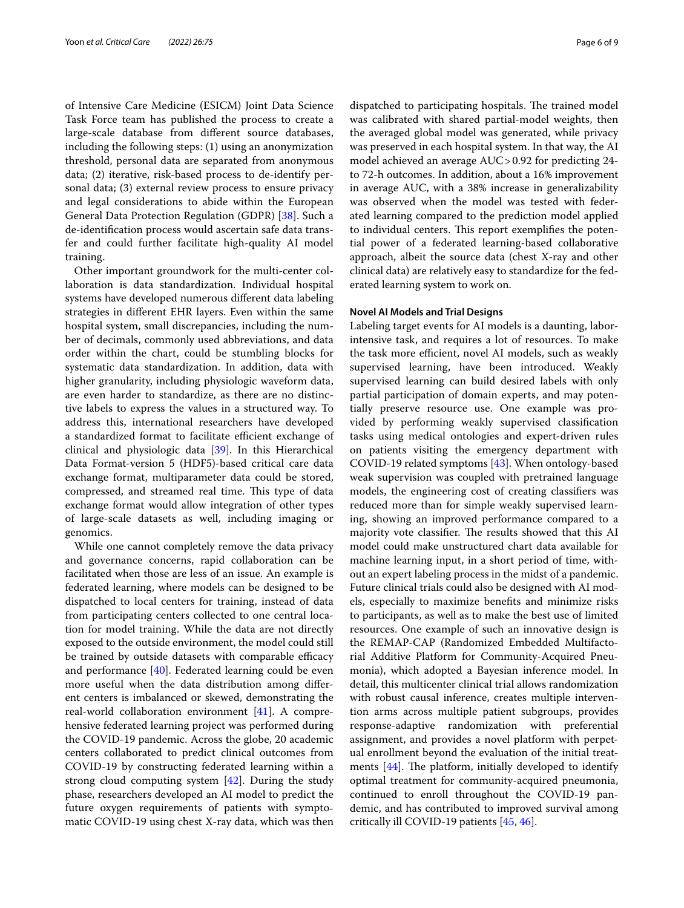of Intensive Care Medicine (ESICM) Joint Data Science Task Force team has published the process to create a large-scale database from different source databases, including the following steps: (1) using an anonymization threshold, personal data are separated from anonymous data; (2) iterative, risk-based process to de-identify personal data; (3) external review process to ensure privacy and legal considerations to abide within the European General Data Protection Regulation (GDPR) [\[38](#page-7-37)]. Such a de-identification process would ascertain safe data transfer and could further facilitate high-quality AI model training.

Other important groundwork for the multi-center collaboration is data standardization. Individual hospital systems have developed numerous different data labeling strategies in different EHR layers. Even within the same hospital system, small discrepancies, including the number of decimals, commonly used abbreviations, and data order within the chart, could be stumbling blocks for systematic data standardization. In addition, data with higher granularity, including physiologic waveform data, are even harder to standardize, as there are no distinctive labels to express the values in a structured way. To address this, international researchers have developed a standardized format to facilitate efficient exchange of clinical and physiologic data [[39\]](#page-7-38). In this Hierarchical Data Format-version 5 (HDF5)-based critical care data exchange format, multiparameter data could be stored, compressed, and streamed real time. This type of data exchange format would allow integration of other types of large-scale datasets as well, including imaging or genomics.

While one cannot completely remove the data privacy and governance concerns, rapid collaboration can be facilitated when those are less of an issue. An example is federated learning, where models can be designed to be dispatched to local centers for training, instead of data from participating centers collected to one central location for model training. While the data are not directly exposed to the outside environment, the model could still be trained by outside datasets with comparable efficacy and performance [[40\]](#page-8-0). Federated learning could be even more useful when the data distribution among different centers is imbalanced or skewed, demonstrating the real-world collaboration environment [[41\]](#page-8-1). A comprehensive federated learning project was performed during the COVID-19 pandemic. Across the globe, 20 academic centers collaborated to predict clinical outcomes from COVID-19 by constructing federated learning within a strong cloud computing system [\[42\]](#page-8-2). During the study phase, researchers developed an AI model to predict the future oxygen requirements of patients with symptomatic COVID-19 using chest X-ray data, which was then dispatched to participating hospitals. The trained model was calibrated with shared partial-model weights, then the averaged global model was generated, while privacy was preserved in each hospital system. In that way, the AI model achieved an average AUC>0.92 for predicting 24 to 72-h outcomes. In addition, about a 16% improvement in average AUC, with a 38% increase in generalizability was observed when the model was tested with federated learning compared to the prediction model applied to individual centers. This report exemplifies the potential power of a federated learning-based collaborative approach, albeit the source data (chest X-ray and other clinical data) are relatively easy to standardize for the federated learning system to work on.

#### **Novel AI Models and Trial Designs**

Labeling target events for AI models is a daunting, laborintensive task, and requires a lot of resources. To make the task more efficient, novel AI models, such as weakly supervised learning, have been introduced. Weakly supervised learning can build desired labels with only partial participation of domain experts, and may potentially preserve resource use. One example was provided by performing weakly supervised classification tasks using medical ontologies and expert-driven rules on patients visiting the emergency department with COVID-19 related symptoms [\[43](#page-8-3)]. When ontology-based weak supervision was coupled with pretrained language models, the engineering cost of creating classifiers was reduced more than for simple weakly supervised learning, showing an improved performance compared to a majority vote classifier. The results showed that this AI model could make unstructured chart data available for machine learning input, in a short period of time, without an expert labeling process in the midst of a pandemic. Future clinical trials could also be designed with AI models, especially to maximize benefits and minimize risks to participants, as well as to make the best use of limited resources. One example of such an innovative design is the REMAP-CAP (Randomized Embedded Multifactorial Additive Platform for Community-Acquired Pneumonia), which adopted a Bayesian inference model. In detail, this multicenter clinical trial allows randomization with robust causal inference, creates multiple intervention arms across multiple patient subgroups, provides response-adaptive randomization with preferential assignment, and provides a novel platform with perpetual enrollment beyond the evaluation of the initial treatments [[44\]](#page-8-4). The platform, initially developed to identify optimal treatment for community-acquired pneumonia, continued to enroll throughout the COVID-19 pandemic, and has contributed to improved survival among critically ill COVID-19 patients [\[45](#page-8-5), [46](#page-8-6)].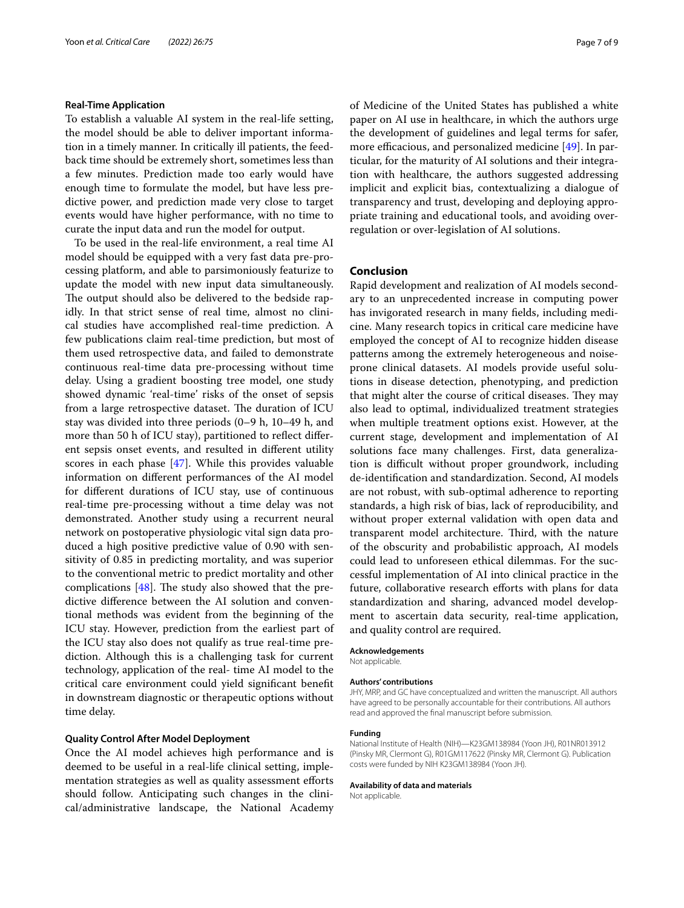#### **Real‑Time Application**

To establish a valuable AI system in the real-life setting, the model should be able to deliver important information in a timely manner. In critically ill patients, the feedback time should be extremely short, sometimes less than a few minutes. Prediction made too early would have enough time to formulate the model, but have less predictive power, and prediction made very close to target events would have higher performance, with no time to curate the input data and run the model for output.

To be used in the real-life environment, a real time AI model should be equipped with a very fast data pre-processing platform, and able to parsimoniously featurize to update the model with new input data simultaneously. The output should also be delivered to the bedside rapidly. In that strict sense of real time, almost no clinical studies have accomplished real-time prediction. A few publications claim real-time prediction, but most of them used retrospective data, and failed to demonstrate continuous real-time data pre-processing without time delay. Using a gradient boosting tree model, one study showed dynamic 'real-time' risks of the onset of sepsis from a large retrospective dataset. The duration of ICU stay was divided into three periods (0–9 h, 10–49 h, and more than 50 h of ICU stay), partitioned to reflect different sepsis onset events, and resulted in different utility scores in each phase [\[47\]](#page-8-7). While this provides valuable information on different performances of the AI model for different durations of ICU stay, use of continuous real-time pre-processing without a time delay was not demonstrated. Another study using a recurrent neural network on postoperative physiologic vital sign data produced a high positive predictive value of 0.90 with sensitivity of 0.85 in predicting mortality, and was superior to the conventional metric to predict mortality and other complications [[48](#page-8-8)]. The study also showed that the predictive difference between the AI solution and conventional methods was evident from the beginning of the ICU stay. However, prediction from the earliest part of the ICU stay also does not qualify as true real-time prediction. Although this is a challenging task for current technology, application of the real- time AI model to the critical care environment could yield significant benefit in downstream diagnostic or therapeutic options without time delay.

## **Quality Control After Model Deployment**

Once the AI model achieves high performance and is deemed to be useful in a real-life clinical setting, implementation strategies as well as quality assessment efforts should follow. Anticipating such changes in the clinical/administrative landscape, the National Academy of Medicine of the United States has published a white paper on AI use in healthcare, in which the authors urge the development of guidelines and legal terms for safer, more efficacious, and personalized medicine [[49](#page-8-9)]. In particular, for the maturity of AI solutions and their integration with healthcare, the authors suggested addressing implicit and explicit bias, contextualizing a dialogue of transparency and trust, developing and deploying appropriate training and educational tools, and avoiding overregulation or over-legislation of AI solutions.

#### **Conclusion**

Rapid development and realization of AI models secondary to an unprecedented increase in computing power has invigorated research in many fields, including medicine. Many research topics in critical care medicine have employed the concept of AI to recognize hidden disease patterns among the extremely heterogeneous and noiseprone clinical datasets. AI models provide useful solutions in disease detection, phenotyping, and prediction that might alter the course of critical diseases. They may also lead to optimal, individualized treatment strategies when multiple treatment options exist. However, at the current stage, development and implementation of AI solutions face many challenges. First, data generalization is difficult without proper groundwork, including de-identification and standardization. Second, AI models are not robust, with sub-optimal adherence to reporting standards, a high risk of bias, lack of reproducibility, and without proper external validation with open data and transparent model architecture. Third, with the nature of the obscurity and probabilistic approach, AI models could lead to unforeseen ethical dilemmas. For the successful implementation of AI into clinical practice in the future, collaborative research efforts with plans for data standardization and sharing, advanced model development to ascertain data security, real-time application, and quality control are required.

#### **Acknowledgements**

Not applicable.

#### **Authors' contributions**

JHY, MRP, and GC have conceptualized and written the manuscript. All authors have agreed to be personally accountable for their contributions. All authors read and approved the final manuscript before submission.

#### **Funding**

National Institute of Health (NIH)—K23GM138984 (Yoon JH), R01NR013912 (Pinsky MR, Clermont G), R01GM117622 (Pinsky MR, Clermont G). Publication costs were funded by NIH K23GM138984 (Yoon JH).

#### **Availability of data and materials**

Not applicable.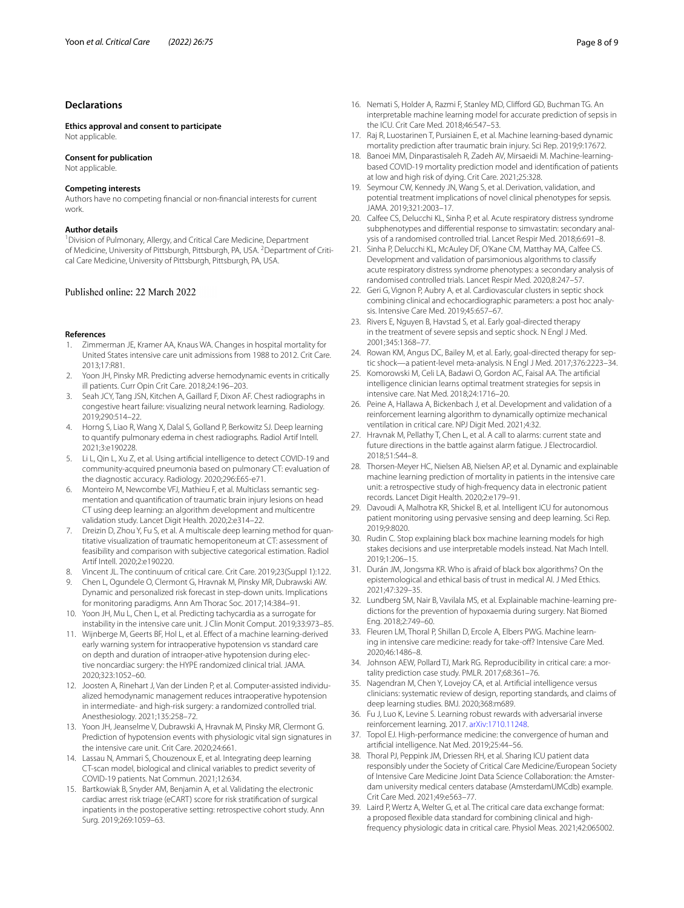#### **Declarations**

**Ethics approval and consent to participate** Not applicable.

#### **Consent for publication**

Not applicable.

#### **Competing interests**

Authors have no competing financial or non-financial interests for current work.

#### **Author details**

<sup>1</sup> Division of Pulmonary, Allergy, and Critical Care Medicine, Department of Medicine, University of Pittsburgh, Pittsburgh, PA, USA. <sup>2</sup> Department of Critical Care Medicine, University of Pittsburgh, Pittsburgh, PA, USA.

#### Published online: 22 March 2022

#### **References**

- <span id="page-7-0"></span>Zimmerman JE, Kramer AA, Knaus WA. Changes in hospital mortality for United States intensive care unit admissions from 1988 to 2012. Crit Care. 2013;17:R81.
- <span id="page-7-1"></span>2. Yoon JH, Pinsky MR. Predicting adverse hemodynamic events in critically ill patients. Curr Opin Crit Care. 2018;24:196–203.
- <span id="page-7-2"></span>3. Seah JCY, Tang JSN, Kitchen A, Gaillard F, Dixon AF. Chest radiographs in congestive heart failure: visualizing neural network learning. Radiology. 2019;290:514–22.
- <span id="page-7-3"></span>4. Horng S, Liao R, Wang X, Dalal S, Golland P, Berkowitz SJ. Deep learning to quantify pulmonary edema in chest radiographs. Radiol Artif Intell. 2021;3:e190228.
- <span id="page-7-4"></span>5. Li L, Qin L, Xu Z, et al. Using artificial intelligence to detect COVID-19 and community-acquired pneumonia based on pulmonary CT: evaluation of the diagnostic accuracy. Radiology. 2020;296:E65-e71.
- <span id="page-7-5"></span>6. Monteiro M, Newcombe VFJ, Mathieu F, et al. Multiclass semantic segmentation and quantification of traumatic brain injury lesions on head CT using deep learning: an algorithm development and multicentre validation study. Lancet Digit Health. 2020;2:e314–22.
- <span id="page-7-6"></span>7. Dreizin D, Zhou Y, Fu S, et al. A multiscale deep learning method for quantitative visualization of traumatic hemoperitoneum at CT: assessment of feasibility and comparison with subjective categorical estimation. Radiol Artif Intell. 2020;2:e190220.
- <span id="page-7-7"></span>8. Vincent JL. The continuum of critical care. Crit Care. 2019;23(Suppl 1):122.
- <span id="page-7-8"></span>9. Chen L, Ogundele O, Clermont G, Hravnak M, Pinsky MR, Dubrawski AW. Dynamic and personalized risk forecast in step-down units. Implications for monitoring paradigms. Ann Am Thorac Soc. 2017;14:384–91.
- <span id="page-7-9"></span>10. Yoon JH, Mu L, Chen L, et al. Predicting tachycardia as a surrogate for instability in the intensive care unit. J Clin Monit Comput. 2019;33:973–85.
- <span id="page-7-10"></span>11. Wijnberge M, Geerts BF, Hol L, et al. Effect of a machine learning-derived early warning system for intraoperative hypotension vs standard care on depth and duration of intraoper-ative hypotension during elective noncardiac surgery: the HYPE randomized clinical trial. JAMA. 2020;323:1052–60.
- <span id="page-7-11"></span>12. Joosten A, Rinehart J, Van der Linden P, et al. Computer-assisted individualized hemodynamic management reduces intraoperative hypotension in intermediate- and high-risk surgery: a randomized controlled trial. Anesthesiology. 2021;135:258–72.
- <span id="page-7-12"></span>13. Yoon JH, Jeanselme V, Dubrawski A, Hravnak M, Pinsky MR, Clermont G. Prediction of hypotension events with physiologic vital sign signatures in the intensive care unit. Crit Care. 2020;24:661.
- <span id="page-7-13"></span>14. Lassau N, Ammari S, Chouzenoux E, et al. Integrating deep learning CT-scan model, biological and clinical variables to predict severity of COVID-19 patients. Nat Commun. 2021;12:634.
- <span id="page-7-14"></span>15. Bartkowiak B, Snyder AM, Benjamin A, et al. Validating the electronic cardiac arrest risk triage (eCART) score for risk stratification of surgical inpatients in the postoperative setting: retrospective cohort study. Ann Surg. 2019;269:1059–63.
- <span id="page-7-15"></span>16. Nemati S, Holder A, Razmi F, Stanley MD, Clifford GD, Buchman TG. An interpretable machine learning model for accurate prediction of sepsis in the ICU. Crit Care Med. 2018;46:547–53.
- <span id="page-7-16"></span>17. Raj R, Luostarinen T, Pursiainen E, et al. Machine learning-based dynamic mortality prediction after traumatic brain injury. Sci Rep. 2019;9:17672.
- <span id="page-7-17"></span>18. Banoei MM, Dinparastisaleh R, Zadeh AV, Mirsaeidi M. Machine-learningbased COVID-19 mortality prediction model and identification of patients at low and high risk of dying. Crit Care. 2021;25:328.
- <span id="page-7-18"></span>19. Seymour CW, Kennedy JN, Wang S, et al. Derivation, validation, and potential treatment implications of novel clinical phenotypes for sepsis. JAMA. 2019;321:2003–17.
- <span id="page-7-19"></span>20. Calfee CS, Delucchi KL, Sinha P, et al. Acute respiratory distress syndrome subphenotypes and differential response to simvastatin: secondary analysis of a randomised controlled trial. Lancet Respir Med. 2018;6:691–8.
- <span id="page-7-20"></span>21. Sinha P, Delucchi KL, McAuley DF, O'Kane CM, Matthay MA, Calfee CS. Development and validation of parsimonious algorithms to classify acute respiratory distress syndrome phenotypes: a secondary analysis of randomised controlled trials. Lancet Respir Med. 2020;8:247–57.
- <span id="page-7-21"></span>22. Geri G, Vignon P, Aubry A, et al. Cardiovascular clusters in septic shock combining clinical and echocardiographic parameters: a post hoc analysis. Intensive Care Med. 2019;45:657–67.
- <span id="page-7-22"></span>23. Rivers E, Nguyen B, Havstad S, et al. Early goal-directed therapy in the treatment of severe sepsis and septic shock. N Engl J Med. 2001;345:1368–77.
- <span id="page-7-23"></span>24. Rowan KM, Angus DC, Bailey M, et al. Early, goal-directed therapy for septic shock—a patient-level meta-analysis. N Engl J Med. 2017;376:2223–34.
- <span id="page-7-24"></span>25. Komorowski M, Celi LA, Badawi O, Gordon AC, Faisal AA. The artificial intelligence clinician learns optimal treatment strategies for sepsis in intensive care. Nat Med. 2018;24:1716–20.
- <span id="page-7-25"></span>26. Peine A, Hallawa A, Bickenbach J, et al. Development and validation of a reinforcement learning algorithm to dynamically optimize mechanical ventilation in critical care. NPJ Digit Med. 2021;4:32.
- <span id="page-7-26"></span>27. Hravnak M, Pellathy T, Chen L, et al. A call to alarms: current state and future directions in the battle against alarm fatigue. J Electrocardiol. 2018;51:S44–8.
- <span id="page-7-27"></span>28. Thorsen-Meyer HC, Nielsen AB, Nielsen AP, et al. Dynamic and explainable machine learning prediction of mortality in patients in the intensive care unit: a retrospective study of high-frequency data in electronic patient records. Lancet Digit Health. 2020;2:e179–91.
- <span id="page-7-28"></span>29. Davoudi A, Malhotra KR, Shickel B, et al. Intelligent ICU for autonomous patient monitoring using pervasive sensing and deep learning. Sci Rep. 2019;9:8020.
- <span id="page-7-29"></span>30. Rudin C. Stop explaining black box machine learning models for high stakes decisions and use interpretable models instead. Nat Mach Intell. 2019;1:206–15.
- <span id="page-7-30"></span>31. Durán JM, Jongsma KR. Who is afraid of black box algorithms? On the epistemological and ethical basis of trust in medical AI. J Med Ethics. 2021;47:329–35.
- <span id="page-7-31"></span>32. Lundberg SM, Nair B, Vavilala MS, et al. Explainable machine-learning predictions for the prevention of hypoxaemia during surgery. Nat Biomed Eng. 2018;2:749–60.
- <span id="page-7-32"></span>33. Fleuren LM, Thoral P, Shillan D, Ercole A, Elbers PWG. Machine learning in intensive care medicine: ready for take-off? Intensive Care Med. 2020;46:1486–8.
- <span id="page-7-33"></span>34. Johnson AEW, Pollard TJ, Mark RG. Reproducibility in critical care: a mortality prediction case study. PMLR. 2017;68:361–76.
- <span id="page-7-34"></span>35. Nagendran M, Chen Y, Lovejoy CA, et al. Artificial intelligence versus clinicians: systematic review of design, reporting standards, and claims of deep learning studies. BMJ. 2020;368:m689.
- <span id="page-7-35"></span>36. Fu J, Luo K, Levine S. Learning robust rewards with adversarial inverse reinforcement learning. 2017. [arXiv:1710.11248](http://arxiv.org/abs/1710.11248).
- <span id="page-7-36"></span>37. Topol EJ. High-performance medicine: the convergence of human and artificial intelligence. Nat Med. 2019;25:44–56.
- <span id="page-7-37"></span>38. Thoral PJ, Peppink JM, Driessen RH, et al. Sharing ICU patient data responsibly under the Society of Critical Care Medicine/European Society of Intensive Care Medicine Joint Data Science Collaboration: the Amsterdam university medical centers database (AmsterdamUMCdb) example. Crit Care Med. 2021;49:e563–77.
- <span id="page-7-38"></span>39. Laird P, Wertz A, Welter G, et al. The critical care data exchange format: a proposed flexible data standard for combining clinical and highfrequency physiologic data in critical care. Physiol Meas. 2021;42:065002.